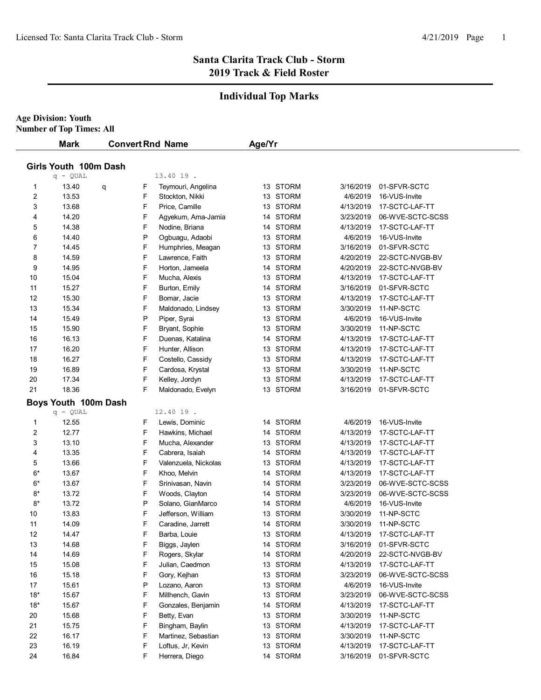### **Santa Clarita Track Club - Storm 2019 Track & Field Roster**

# **Individual Top Marks**

**Age Division: Youth Number of Top Times: All**

|       | <b>Mark</b><br><b>Convert Rnd Name</b> |   |   | Age/Yr               |  |          |           |                  |  |  |
|-------|----------------------------------------|---|---|----------------------|--|----------|-----------|------------------|--|--|
|       | Girls Youth 100m Dash                  |   |   |                      |  |          |           |                  |  |  |
|       | $q - QUAL$                             |   |   | 13.40 19.            |  |          |           |                  |  |  |
| 1     | 13.40                                  | q | F | Teymouri, Angelina   |  | 13 STORM | 3/16/2019 | 01-SFVR-SCTC     |  |  |
| 2     | 13.53                                  |   | F | Stockton, Nikki      |  | 13 STORM | 4/6/2019  | 16-VUS-Invite    |  |  |
| 3     | 13.68                                  |   | F | Price, Camille       |  | 13 STORM | 4/13/2019 | 17-SCTC-LAF-TT   |  |  |
| 4     | 14.20                                  |   | F | Agyekum, Ama-Jamia   |  | 14 STORM | 3/23/2019 | 06-WVE-SCTC-SCSS |  |  |
| 5     | 14.38                                  |   | F | Nodine, Briana       |  | 14 STORM | 4/13/2019 | 17-SCTC-LAF-TT   |  |  |
| 6     | 14.40                                  |   | P | Ogbuagu, Adaobi      |  | 13 STORM | 4/6/2019  | 16-VUS-Invite    |  |  |
| 7     | 14.45                                  |   | F | Humphries, Meagan    |  | 13 STORM | 3/16/2019 | 01-SFVR-SCTC     |  |  |
| 8     | 14.59                                  |   | F | Lawrence, Faith      |  | 13 STORM | 4/20/2019 | 22-SCTC-NVGB-BV  |  |  |
| 9     | 14.95                                  |   | F | Horton, Jameela      |  | 14 STORM | 4/20/2019 | 22-SCTC-NVGB-BV  |  |  |
| 10    | 15.04                                  |   | F | Mucha, Alexis        |  | 13 STORM | 4/13/2019 | 17-SCTC-LAF-TT   |  |  |
| 11    | 15.27                                  |   | F | Burton, Emily        |  | 14 STORM | 3/16/2019 | 01-SFVR-SCTC     |  |  |
| 12    | 15.30                                  |   | F | Bomar, Jacie         |  | 13 STORM | 4/13/2019 | 17-SCTC-LAF-TT   |  |  |
| 13    | 15.34                                  |   | F | Maldonado, Lindsey   |  | 13 STORM | 3/30/2019 | 11-NP-SCTC       |  |  |
| 14    | 15.49                                  |   | P | Piper, Syrai         |  | 13 STORM | 4/6/2019  | 16-VUS-Invite    |  |  |
| 15    | 15.90                                  |   | F | Bryant, Sophie       |  | 13 STORM | 3/30/2019 | 11-NP-SCTC       |  |  |
| 16    | 16.13                                  |   | F | Duenas, Katalina     |  | 14 STORM | 4/13/2019 | 17-SCTC-LAF-TT   |  |  |
| 17    | 16.20                                  |   | F | Hunter, Allison      |  | 13 STORM | 4/13/2019 | 17-SCTC-LAF-TT   |  |  |
| 18    | 16.27                                  |   | F | Costello, Cassidy    |  | 13 STORM | 4/13/2019 | 17-SCTC-LAF-TT   |  |  |
| 19    | 16.89                                  |   | F | Cardosa, Krystal     |  | 13 STORM | 3/30/2019 | 11-NP-SCTC       |  |  |
| 20    | 17.34                                  |   | F | Kelley, Jordyn       |  | 13 STORM | 4/13/2019 | 17-SCTC-LAF-TT   |  |  |
| 21    | 18.36                                  |   | F | Maldonado, Evelyn    |  | 13 STORM | 3/16/2019 | 01-SFVR-SCTC     |  |  |
|       | Boys Youth 100m Dash                   |   |   |                      |  |          |           |                  |  |  |
|       | $q - QUAL$                             |   |   | 12.40 19.            |  |          |           |                  |  |  |
| 1     | 12.55                                  |   | F | Lewis, Dominic       |  | 14 STORM | 4/6/2019  | 16-VUS-Invite    |  |  |
| 2     | 12.77                                  |   | F | Hawkins, Michael     |  | 14 STORM | 4/13/2019 | 17-SCTC-LAF-TT   |  |  |
| 3     | 13.10                                  |   | F | Mucha, Alexander     |  | 13 STORM | 4/13/2019 | 17-SCTC-LAF-TT   |  |  |
| 4     | 13.35                                  |   | F | Cabrera, Isaiah      |  | 14 STORM | 4/13/2019 | 17-SCTC-LAF-TT   |  |  |
| 5     | 13.66                                  |   | F | Valenzuela, Nickolas |  | 13 STORM | 4/13/2019 | 17-SCTC-LAF-TT   |  |  |
| $6*$  | 13.67                                  |   | F | Khoo, Melvin         |  | 14 STORM | 4/13/2019 | 17-SCTC-LAF-TT   |  |  |
| 6*    | 13.67                                  |   | F | Srinivasan, Navin    |  | 14 STORM | 3/23/2019 | 06-WVE-SCTC-SCSS |  |  |
| 8*    | 13.72                                  |   | F | Woods, Clayton       |  | 14 STORM | 3/23/2019 | 06-WVE-SCTC-SCSS |  |  |
| $8*$  | 13.72                                  |   | P | Solano, GianMarco    |  | 14 STORM | 4/6/2019  | 16-VUS-Invite    |  |  |
| 10    | 13.83                                  |   | F | Jefferson, William   |  | 13 STORM | 3/30/2019 | 11-NP-SCTC       |  |  |
| 11    | 14.09                                  |   | F | Caradine, Jarrett    |  | 14 STORM | 3/30/2019 | 11-NP-SCTC       |  |  |
| 12    | 14.47                                  |   | F | Barba, Louie         |  | 13 STORM | 4/13/2019 | 17-SCTC-LAF-TT   |  |  |
| 13    | 14.68                                  |   | F | Biggs, Jaylen        |  | 14 STORM | 3/16/2019 | 01-SFVR-SCTC     |  |  |
| 14    | 14.69                                  |   | F | Rogers, Skylar       |  | 14 STORM | 4/20/2019 | 22-SCTC-NVGB-BV  |  |  |
| 15    | 15.08                                  |   | F | Julian, Caedmon      |  | 13 STORM | 4/13/2019 | 17-SCTC-LAF-TT   |  |  |
| 16    | 15.18                                  |   | F | Gory, Kejhan         |  | 13 STORM | 3/23/2019 | 06-WVE-SCTC-SCSS |  |  |
| 17    | 15.61                                  |   | P | Lozano, Aaron        |  | 13 STORM | 4/6/2019  | 16-VUS-Invite    |  |  |
| $18*$ | 15.67                                  |   | F | Millhench, Gavin     |  | 13 STORM | 3/23/2019 | 06-WVE-SCTC-SCSS |  |  |
| $18*$ | 15.67                                  |   | F | Gonzales, Benjamin   |  | 14 STORM | 4/13/2019 | 17-SCTC-LAF-TT   |  |  |
| 20    | 15.68                                  |   | F | Betty, Evan          |  | 13 STORM | 3/30/2019 | 11-NP-SCTC       |  |  |
| 21    | 15.75                                  |   | F | Bingham, Baylin      |  | 13 STORM | 4/13/2019 | 17-SCTC-LAF-TT   |  |  |
| 22    | 16.17                                  |   | F | Martinez, Sebastian  |  | 13 STORM | 3/30/2019 | 11-NP-SCTC       |  |  |
| 23    | 16.19                                  |   | F | Loftus, Jr, Kevin    |  | 13 STORM | 4/13/2019 | 17-SCTC-LAF-TT   |  |  |
| 24    | 16.84                                  |   | F | Herrera, Diego       |  | 14 STORM | 3/16/2019 | 01-SFVR-SCTC     |  |  |